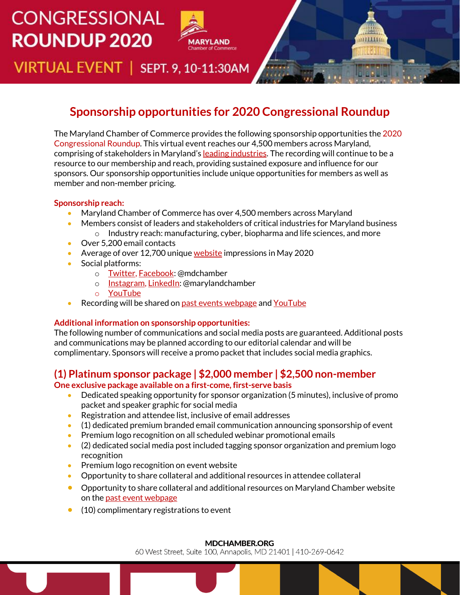# **CONGRESSIONAL ROUNDUP 2020**



VIRTUAL EVENT | SEPT. 9, 10-11:30AM

# **Sponsorship opportunities for 2020 Congressional Roundup**

The Maryland Chamber of Commerce provides the following sponsorship opportunities the 2020 Congressional Roundup. This virtual event reaches our 4,500 members across Maryland, comprising of stakeholders in Maryland's [leading industries.](https://mdchamber.org/marylands-leading-industries/) The recording will continue to be a resource to our membership and reach, providing sustained exposure and influence for our sponsors. Our sponsorship opportunities include unique opportunities for members as well as member and non-member pricing.

#### **Sponsorship reach:**

- Maryland Chamber of Commerce has over 4,500 members across Maryland
- Members consist of leaders and stakeholders of critical industries for Maryland business  $\circ$  Industry reach: manufacturing, cyber, biopharma and life sciences, and more
- Over 5,200 email contacts
- Average of over 12,700 unique [website](https://mdchamber.org/) impressions in May 2020
- Social platforms:
	- o [Twitter,](https://twitter.com/mdchamber?lang=en) [Facebook:](https://www.facebook.com/mdchamber/) @mdchamber
	- o [Instagram,](https://www.instagram.com/marylandchamber/) [LinkedIn:](https://www.linkedin.com/company/maryland-chamber-of-commerce/) @marylandchamber
	- o [YouTube](https://www.youtube.com/channel/UCquMBuyLtskaN9awMIyJCjw)
- Recording will be shared on [past events webpage](https://mdchamber.org/events/past-events/) an[d YouTube](https://www.youtube.com/channel/UCquMBuyLtskaN9awMIyJCjw)

### **Additional information on sponsorship opportunities:**

The following number of communications and social media posts are guaranteed. Additional posts and communications may be planned according to our editorial calendar and will be complimentary. Sponsors will receive a promo packet that includes social media graphics.

## **(1) Platinum sponsor package | \$2,000 member | \$2,500 non-member**

**One exclusive package available on a first-come, first-serve basis**

- Dedicated speaking opportunity for sponsor organization (5 minutes), inclusive of promo packet and speaker graphic for social media
- Registration and attendee list, inclusive of email addresses
- (1) dedicated premium branded email communication announcing sponsorship of event
- Premium logo recognition on all scheduled webinar promotional emails
- (2) dedicated social media post included tagging sponsor organization and premium logo recognition
- Premium logo recognition on event website
- Opportunity to share collateral and additional resources in attendee collateral
- Opportunity to share collateral and additional resources on Maryland Chamber website on th[e past event webpage](https://mdchamber.org/events/past-events/)
- (10) complimentary registrations to event

#### **MDCHAMBER.ORG**

60 West Street, Suite 100, Annapolis, MD 21401 | 410-269-0642